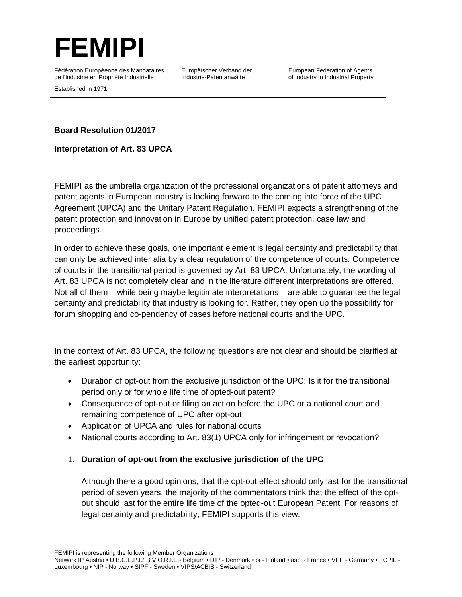

Fédération Européenne des Mandataires de l'Industrie en Propriété Industrielle

Europäischer Verband der Industrie-Patentanwälte

European Federation of Agents of Industry in Industrial Property

Established in 1971

#### **Board Resolution 01/2017**

**Interpretation of Art. 83 UPCA**

FEMIPI as the umbrella organization of the professional organizations of patent attorneys and patent agents in European industry is looking forward to the coming into force of the UPC Agreement (UPCA) and the Unitary Patent Regulation. FEMIPI expects a strengthening of the patent protection and innovation in Europe by unified patent protection, case law and proceedings.

In order to achieve these goals, one important element is legal certainty and predictability that can only be achieved inter alia by a clear regulation of the competence of courts. Competence of courts in the transitional period is governed by Art. 83 UPCA. Unfortunately, the wording of Art. 83 UPCA is not completely clear and in the literature different interpretations are offered. Not all of them – while being maybe legitimate interpretations – are able to guarantee the legal certainty and predictability that industry is looking for. Rather, they open up the possibility for forum shopping and co-pendency of cases before national courts and the UPC.

In the context of Art. 83 UPCA, the following questions are not clear and should be clarified at the earliest opportunity:

- Duration of opt-out from the exclusive jurisdiction of the UPC: Is it for the transitional period only or for whole life time of opted-out patent?
- Consequence of opt-out or filing an action before the UPC or a national court and remaining competence of UPC after opt-out
- Application of UPCA and rules for national courts
- National courts according to Art. 83(1) UPCA only for infringement or revocation?

### 1. **Duration of opt-out from the exclusive jurisdiction of the UPC**

Although there a good opinions, that the opt-out effect should only last for the transitional period of seven years, the majority of the commentators think that the effect of the optout should last for the entire life time of the opted-out European Patent. For reasons of legal certainty and predictability, FEMIPI supports this view.

FEMIPI is representing the following Member Organizations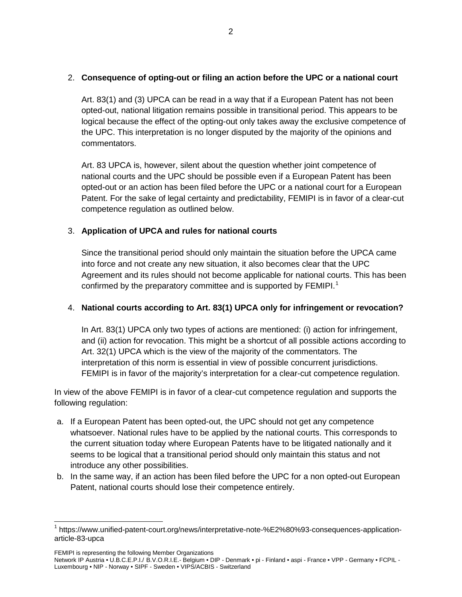# 2. **Consequence of opting-out or filing an action before the UPC or a national court**

Art. 83(1) and (3) UPCA can be read in a way that if a European Patent has not been opted-out, national litigation remains possible in transitional period. This appears to be logical because the effect of the opting-out only takes away the exclusive competence of the UPC. This interpretation is no longer disputed by the majority of the opinions and commentators.

Art. 83 UPCA is, however, silent about the question whether joint competence of national courts and the UPC should be possible even if a European Patent has been opted-out or an action has been filed before the UPC or a national court for a European Patent. For the sake of legal certainty and predictability, FEMIPI is in favor of a clear-cut competence regulation as outlined below.

# 3. **Application of UPCA and rules for national courts**

Since the transitional period should only maintain the situation before the UPCA came into force and not create any new situation, it also becomes clear that the UPC Agreement and its rules should not become applicable for national courts. This has been confirmed by the preparatory committee and is supported by  $FEMIPI<sup>1</sup>$  $FEMIPI<sup>1</sup>$  $FEMIPI<sup>1</sup>$ 

### 4. **National courts according to Art. 83(1) UPCA only for infringement or revocation?**

In Art. 83(1) UPCA only two types of actions are mentioned: (i) action for infringement, and (ii) action for revocation. This might be a shortcut of all possible actions according to Art. 32(1) UPCA which is the view of the majority of the commentators. The interpretation of this norm is essential in view of possible concurrent jurisdictions. FEMIPI is in favor of the majority's interpretation for a clear-cut competence regulation.

In view of the above FEMIPI is in favor of a clear-cut competence regulation and supports the following regulation:

- a. If a European Patent has been opted-out, the UPC should not get any competence whatsoever. National rules have to be applied by the national courts. This corresponds to the current situation today where European Patents have to be litigated nationally and it seems to be logical that a transitional period should only maintain this status and not introduce any other possibilities.
- b. In the same way, if an action has been filed before the UPC for a non opted-out European Patent, national courts should lose their competence entirely.

FEMIPI is representing the following Member Organizations

<span id="page-1-0"></span> <sup>1</sup> https://www.unified-patent-court.org/news/interpretative-note-%E2%80%93-consequences-applicationarticle-83-upca

Network IP Austria • U.B.C.E.P.I./ B.V.O.R.I.E.- Belgium • DIP - Denmark • pi - Finland • aspi - France • VPP - Germany • FCPIL - Luxembourg • NIP - Norway • SIPF - Sweden • VIPS/ACBIS - Switzerland